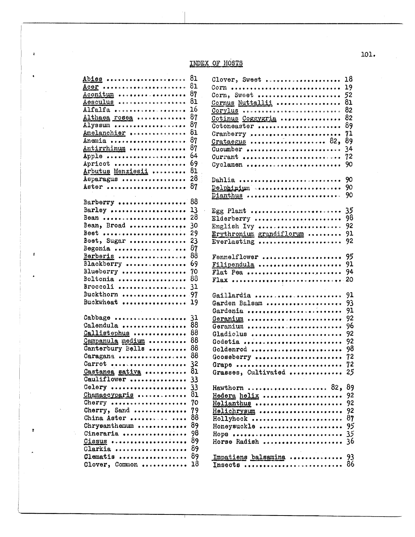## INDEX OF HOSTS

 $\ddot{\phantom{a}}$ 

 $\pmb{\psi}$ 

 $\pmb v$ 

| Abies             | 81       | Clover, Sweet            | 18  |
|-------------------|----------|--------------------------|-----|
|                   | 81       | Corn                     | 19  |
| Aconitum          | 87       | Corn, Sweet              | 52  |
| Aesculus          | 81       | Cornus Nuttallii         | 81  |
| Alfalfa           | 16       | Corylus assessores       | 82  |
| Althaea rosea     | 87       | Cotinus Coggygria        | 82  |
| Alyssum           | 87       | Cotoneaster              | 89  |
| Amelanchier       | 81       | Cranberry                | 71  |
| Anemia            | 87       |                          | 89  |
| Antirrhinum       | 87       | Cucumber                 | 34  |
| Apple             | 64       | Currant                  | 72  |
| Apricot           | 69       | Cyclamen                 | 90  |
| Arbutus Menziesii | 81       |                          |     |
| Asparagus         | 28       | Dahlia                   | 90  |
| Aster             | 87       | Delphinium               | 90  |
|                   |          | Dianthus                 | 90  |
| Barberry          | 88       |                          |     |
| Barley            | 13       | Egg Plant                | 35  |
| Bean              | 28       | Elderberry               | 98  |
| Bean, Broad       | 30       | English Ivy              | 92  |
| Beet              | 29       | Erythronium grandiflorum | 91  |
| Beet, Sugar       | 23       | Everlasting              | 92  |
| Begonia           | 87       |                          |     |
| Berberis          | 88       | Fennelflower             | 95  |
| Blackberry        | 69       | Filipendula              | 91  |
| Blueberry         | 70       | Flat Pea                 | 94  |
| Boltonia          | 88       | F1ax                     | 20  |
| Broccoli          | 31       |                          |     |
| Buckthorn         | 97       | Gaillardia               | 91  |
| Buckwheat         | 19       | Garden Balsam            | 93  |
|                   |          | Gardenia                 | 91  |
| Cabbage           | 31       | Geranium                 | 92  |
| Calendula         | 88       | Geranium                 | 96  |
| Callistephus      | 88       | Gladiolus                | 92  |
| Campanula medium  | 88       | Godetia                  | 92  |
| Canterbury Bells  | 88       | Goldenrod                | 98  |
| Caragana          | 88       | Gooseberry               | 72  |
| Carrot            | 32       | Grape                    | 72  |
| Castanea sativa   | 81       | Grasses, Cultivated      | 25  |
| Cauliflower       |          |                          |     |
| Celery            |          | Hawthorn  82,            | 89  |
| Chamaecyparis     | 33<br>81 |                          |     |
| Cherry            |          | Hedera helix             | 92  |
| Cherry, Sand      | 70       | Helianthus               | 92  |
| China Aster       | 79<br>88 | Helichrysum              | 92  |
|                   |          | Hollyhock                | 87  |
| Chrysanthemum     | 89       | Honeysuckle              | 95  |
| Cineraria         | 98       | Hops                     | 35  |
| Cissus            | 89       | Horse Radish             | -36 |
| Clarkia           | 89       |                          |     |
| Clematis          | 89       | Impatiens balsamina      | 93  |
| Clover, Common    | 18       | Insects  86              |     |

 $101.$